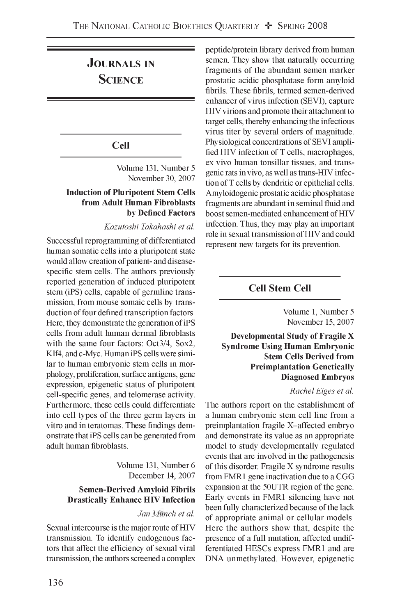# **Journals in Science**

# **Cell**

Volume 131, Number 5 November 30, 2007

# **Induction of Pluripotent Stem Cells from Adult Human Fibroblasts by Defined Factors**

*Kazutoshi Takahashi et al.*

Successful reprogramming of differentiated human somatic cells into a pluripotent state would allow creation of patient- and diseasespecific stem cells. The authors previously reported generation of induced pluripotent stem (iPS) cells, capable of germline transmission, from mouse somaic cells by transduction of four defined transcription factors. Here, they demonstrate the generation of iPS cells from adult human dermal fibroblasts with the same four factors: Oct3/4, Sox2, Klf4, and c-Myc. Human iPS cells were similar to human embryonic stem cells in morphology, proliferation, surface antigens, gene expression, epigenetic status of pluripotent cell-specific genes, and telomerase activity. Furthermore, these cells could differentiate into cell types of the three germ layers in vitro and in teratomas. These findings demonstrate that iPS cells can be generated from adult human fibroblasts.

> Volume 131, Number 6 December 14, 2007

# **Semen-Derived Amyloid Fibrils Drastically Enhance HIV Infection**

#### *Jan Munch et al.*

Sexual intercourse is the major route of HIV transmission. To identify endogenous factors that affect the efficiency of sexual viral transmission, the authors screened a complex peptide/protein library derived from human semen. They show that naturally occurring fragments of the abundant semen marker prostatic acidic phosphatase form amyloid fibrils. These fibrils, termed semen-derived enhancer of virus infection (SEVI), capture HIV virions and promote their attachment to target cells, thereby enhancing the infectious virus titer by several orders of magnitude. Physiological concentrations of SEVI amplified HIV infection of T cells, macrophages, ex vivo human tonsillar tissues, and transgenic rats in vivo, as well as trans-HIV infection of T cells by dendritic or epithelial cells. Amyloidogenic prostatic acidic phosphatase fragments are abundant in seminal fluid and boost semen-mediated enhancement of HIV infection. Thus, they may play an important role in sexual transmission of HIV and could represent new targets for its prevention.

# **Cell Stem Cell**

Volume 1, Number 5 November 15, 2007

**Developmental Study of Fragile X Syndrome Using Human Embryonic Stem Cells Derived from Preimplantation Genetically Diagnosed Embryos**

#### *Rachel Eiges et al.*

The authors report on the establishment of a human embryonic stem cell line from a preimplantation fragile X-affected embryo and demonstrate its value as an appropriate model to study developmentally regulated events that are involved in the pathogenesis of this disorder. Fragile X syndrome results from FMR1 gene inactivation due to a CGG expansion at the 50UTR region of the gene. Early events in FMR1 silencing have not been fully characterized because of the lack of appropriate animal or cellular models. Here the authors show that, despite the presence of a full mutation, affected undifferentiated HESCs express FMR1 and are DNA unmethylated. However, epigenetic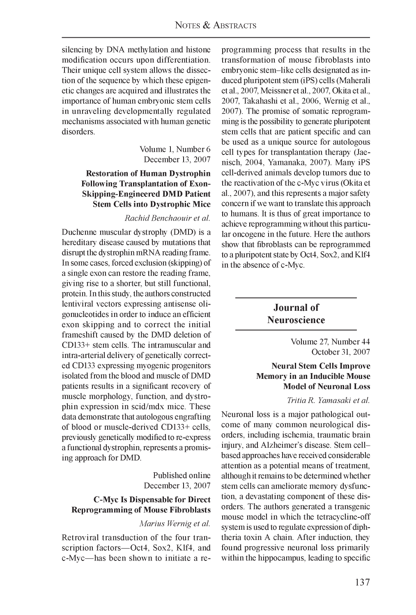silencing by DNA methylation and histone modification occurs upon differentiation. Their unique cell system allows the dissection of the sequence by which these epigenetic changes are acquired and illustrates the importance of human embryonic stem cells in unraveling developmentally regulated mechanisms associated with human genetic disorders.

> Volume 1, Number 6 December 13, 2007

# **Restoration of Human Dystrophin Following Transplantation of Exon-Skipping-Engineered DMD Patient Stem Cells into Dystrophic Mice**

#### *Rachid Benchaouir et al.*

Duchenne muscular dystrophy (DMD) is a hereditary disease caused by mutations that disrupt the dystrophin mRNA reading frame. In some cases, forced exclusion (skipping) of a single exon can restore the reading frame, giving rise to a shorter, but still functional, protein. In this study, the authors constructed lentiviral vectors expressing antisense oligonucleotides in order to induce an efficient exon skipping and to correct the initial frameshift caused by the DMD deletion of CD133+ stem cells. The intramuscular and intra-arterial delivery of genetically corrected CD133 expressing myogenic progenitors isolated from the blood and muscle of DMD patients results in a significant recovery of muscle morphology, function, and dystrophin expression in scid/mdx mice. These data demonstrate that autologous engrafting of blood or muscle-derived CD133+ cells, previously genetically modified to re-express a functional dystrophin, represents a promising approach for DMD.

> Published online December 13, 2007

# **C-Myc Is Dispensable for Direct Reprogramming of Mouse Fibroblasts**

#### *Marius Wernig et al.*

Retroviral transduction of the four transcription factors— Oct4, Sox2, Klf4, and c-Myc— has been shown to initiate a re-

programming process that results in the transformation of mouse fibroblasts into embryonic stem-like cells designated as induced pluripotent stem (iPS) cells (Maherali et al., 2007, Meissner et al., 2007, Okita et al., 2007, Takahashi et al., 2006, Wernig et al., 2007). The promise of somatic reprogramming is the possibility to generate pluripotent stem cells that are patient specific and can be used as a unique source for autologous cell types for transplantation therapy (Jaenisch, 2004, Yamanaka, 2007). Many iPS cell-derived animals develop tumors due to the reactivation of the c-Myc virus (Okita et al., 2007), and this represents a major safety concern if we want to translate this approach to humans. It is thus of great importance to achieve reprogramming without this particular oncogene in the future. Here the authors show that fibroblasts can be reprogrammed to a pluripotent state by Oct4, Sox2, and Klf4 in the absence of c-Myc.

# **Journal of Neuroscience**

Volume 27, Number 44 October 31, 2007

#### **Neural Stem Cells Improve Memory in an Inducible Mouse Model of Neuronal Loss**

#### *Tritia R. Yamasaki et al.*

Neuronal loss is a major pathological outcome of many common neurological disorders, including ischemia, traumatic brain injury, and Alzheimer's disease. Stem cellbased approaches have received considerable attention as a potential means of treatment, although it remains to be determined whether stem cells can ameliorate memory dysfunction, a devastating component of these disorders. The authors generated a transgenic mouse model in which the tetracycline-off system is used to regulate expression of diphtheria toxin A chain. After induction, they found progressive neuronal loss primarily within the hippocampus, leading to specific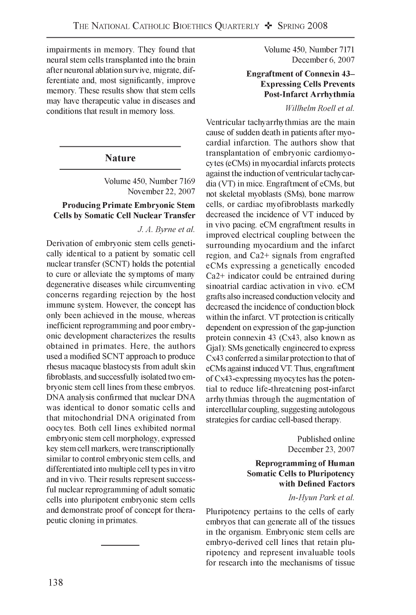impairments in memory. They found that neural stem cells transplanted into the brain after neuronal ablation survive, migrate, differentiate and, most significantly, improve memory. These results show that stem cells may have therapeutic value in diseases and conditions that result in memory loss.

# **Nature**

Volume 450, Number 7169 November 22, 2007

# **Producing Primate Embryonic Stem Cells by Somatic Cell Nuclear Transfer**

#### *J. A. Byrne et al.*

Derivation of embryonic stem cells genetically identical to a patient by somatic cell nuclear transfer (SCNT) holds the potential to cure or alleviate the symptoms of many degenerative diseases while circumventing concerns regarding rejection by the host immune system. However, the concept has only been achieved in the mouse, whereas inefficient reprogramming and poor embryonic development characterizes the results obtained in primates. Here, the authors used a modified SCNT approach to produce rhesus macaque blastocysts from adult skin fibroblasts, and successfully isolated two embryonic stem cell lines from these embryos. DNA analysis confirmed that nuclear DNA was identical to donor somatic cells and that mitochondrial DNA originated from oocytes. Both cell lines exhibited normal embryonic stem cell morphology, expressed key stem cell markers, were transcriptionally similar to control embryonic stem cells, and differentiated into multiple cell types in vitro and in vivo. Their results represent successful nuclear reprogramming of adult somatic cells into pluripotent embryonic stem cells and demonstrate proof of concept for therapeutic cloning in primates.

Volume 450, Number 7171 December 6, 2007

# **Engraftment of Connexin 43- Expressing Cells Prevents Post-Infarct Arrhythmia**

### *Willhelm Roell et al.*

Ventricular tachyarrhythmias are the main cause of sudden death in patients after myocardial infarction. The authors show that transplantation of embryonic cardiomyocytes (eCMs) in myocardial infarcts protects against the induction of ventricular tachycardia (VT) in mice. Engraftment of eCMs, but not skeletal myoblasts (SMs), bone marrow cells, or cardiac myofibroblasts markedly decreased the incidence of VT induced by in vivo pacing. eCM engraftment results in improved electrical coupling between the surrounding myocardium and the infarct region, and Ca2+ signals from engrafted eCMs expressing a genetically encoded Ca2+ indicator could be entrained during sinoatrial cardiac activation in vivo. eCM grafts also increased conduction velocity and decreased the incidence of conduction block within the infarct. VT protection is critically dependent on expression of the gap-junction protein connexin 43 (Cx43, also known as Gja1): SMs genetically engineered to express Cx43 conferred a similar protection to that of eCMs against induced VT. Thus, engraftment of Cx43-expressing myocytes has the potential to reduce life-threatening post-infarct arrhythmias through the augmentation of intercellular coupling, suggesting autologous strategies for cardiac cell-based therapy.

> Published online December 23, 2007

# **Reprogramming of Human Somatic Cells to Pluripotency with Defined Factors**

#### *In-Hyun Park et al.*

Pluripotency pertains to the cells of early embryos that can generate all of the tissues in the organism. Embryonic stem cells are embryo-derived cell lines that retain pluripotency and represent invaluable tools for research into the mechanisms of tissue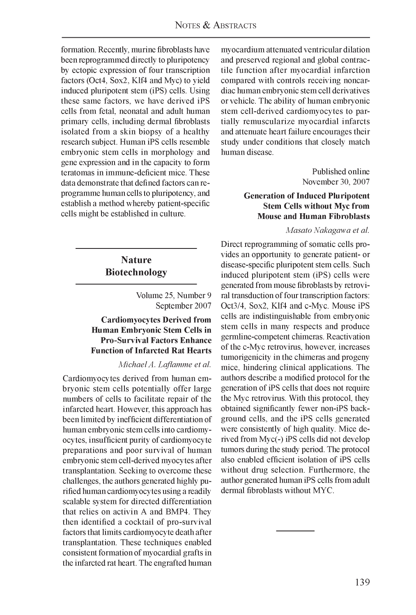formation. Recently, murine fibroblasts have been reprogrammed directly to pluripotency by ectopic expression of four transcription factors (Oct4, Sox2, Klf4 and Myc) to yield induced pluripotent stem (iPS) cells. Using these same factors, we have derived iPS cells from fetal, neonatal and adult human primary cells, including dermal fibroblasts isolated from a skin biopsy of a healthy research subject. Human iPS cells resemble embryonic stem cells in morphology and gene expression and in the capacity to form teratomas in immune-deficient mice. These data demonstrate that defined factors can reprogramme human cells to pluripotency, and establish a method whereby patient-specific cells might be established in culture.

# **Nature Biotechnology**

Volume 25, Number 9 September 2007

# **Cardiomyocytes Derived from Human Embryonic Stem Cells in Pro-Survival Factors Enhance Function of Infarcted Rat Hearts**

*Michael A. Laflamme et al.*

Cardiomyocytes derived from human embryonic stem cells potentially offer large numbers of cells to facilitate repair of the infarcted heart. However, this approach has been limited by inefficient differentiation of human embryonic stem cells into cardiomyocytes, insufficient purity of cardiomyocyte preparations and poor survival of human embryonic stem cell-derived myocytes after transplantation. Seeking to overcome these challenges, the authors generated highly purified human cardiomyocytes using a readily scalable system for directed differentiation that relies on activin A and BMP4. They then identified a cocktail of pro-survival factors that limits cardiomyocyte death after transplantation. These techniques enabled consistent formation of myocardial grafts in the infarcted rat heart. The engrafted human myocardium attenuated ventricular dilation and preserved regional and global contractile function after myocardial infarction compared with controls receiving noncardiac human embryonic stem cell derivatives or vehicle. The ability of human embryonic stem cell-derived cardiomyocytes to partially remuscularize myocardial infarcts and attenuate heart failure encourages their study under conditions that closely match human disease.

> Published online November 30, 2007

### **Generation of Induced Pluripotent Stem Cells without Myc from Mouse and Human Fibroblasts**

*Masato Nakagawa et al.*

Direct reprogramming of somatic cells provides an opportunity to generate patient- or disease-specific pluripotent stem cells. Such induced pluripotent stem (iPS) cells were generated from mouse fibroblasts by retroviral transduction of four transcription factors: Oct3/4, Sox2, Klf4 and c-Myc. Mouse iPS cells are indistinguishable from embryonic stem cells in many respects and produce germline-competent chimeras. Reactivation of the c-Myc retrovirus, however, increases tumorigenicity in the chimeras and progeny mice, hindering clinical applications. The authors describe a modified protocol for the generation of iPS cells that does not require the Myc retrovirus. With this protocol, they obtained significantly fewer non-iPS background cells, and the iPS cells generated were consistently of high quality. Mice derived from Myc(-) iPS cells did not develop tumors during the study period. The protocol also enabled efficient isolation of iPS cells without drug selection. Furthermore, the author generated human iPS cells from adult dermal fibroblasts without MYC.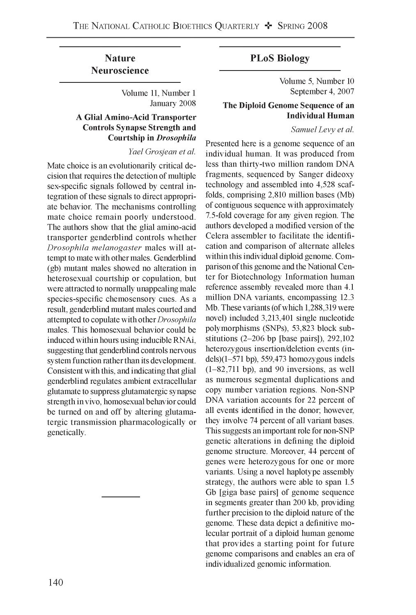# **Nature Neuroscience**

Volume 11, Number 1 January 2008

# **A Glial Amino-Acid Transporter Controls Synapse Strength and Courtship in Drosophila**

*Yael Grosjean et al.*

Mate choice is an evolutionarily critical decision that requires the detection of multiple sex-specific signals followed by central integration of these signals to direct appropriate behavior. The mechanisms controlling mate choice remain poorly understood. The authors show that the glial amino-acid transporter genderblind controls whether *Drosophila melanogaster* males will attempt to mate with other males. Genderblind (gb) mutant males showed no alteration in heterosexual courtship or copulation, but were attracted to normally unappealing male species-specific chemosensory cues. As a result, genderblind mutant males courted and attempted to copulate with other *Drosophila* males. This homosexual behavior could be induced within hours using inducible RNAi, suggesting that genderblind controls nervous system function rather than its development. Consistent with this, and indicating that glial genderblind regulates ambient extracellular glutamate to suppress glutamatergic synapse strength in vivo, homosexual behavior could be turned on and off by altering glutamatergic transmission pharmacologically or genetically.

# **PLoS Biology**

Volume 5, Number 10 September 4, 2007

# **The Diploid Genome Sequence of an Individual Human**

*Samuel Levy et al.*

Presented here is a genome sequence of an individual human. It was produced from less than thirty-two million random DNA fragments, sequenced by Sanger dideoxy technology and assembled into 4,528 scaffolds, comprising 2,810 million bases (Mb) of contiguous sequence with approximately 7.5-fold coverage for any given region. The authors developed a modified version of the Celera assembler to facilitate the identification and comparison of alternate alleles within this individual diploid genome. Comparison of this genome and the National Center for Biotechnology Information human reference assembly revealed more than 4.1 million DNA variants, encompassing 12.3 Mb. These variants (of which 1,288,319 were novel) included 3,213,401 single nucleotide polymorphisms (SNPs), 53,823 block substitutions  $(2-206$  bp [base pairs]),  $292,102$ heterozygous insertion/deletion events (indels) $(1-571$  bp), 559,473 homozygous indels (1-82,711 bp), and 90 inversions, as well as numerous segmental duplications and copy number variation regions. Non-SNP DNA variation accounts for 22 percent of all events identified in the donor; however, they involve 74 percent of all variant bases. This suggests an important role for non-SNP genetic alterations in defining the diploid genome structure. Moreover, 44 percent of genes were heterozygous for one or more variants. Using a novel haplotype assembly strategy, the authors were able to span 1.5 Gb [giga base pairs] of genome sequence in segments greater than 200 kb, providing further precision to the diploid nature of the genome. These data depict a definitive molecular portrait of a diploid human genome that provides a starting point for future genome comparisons and enables an era of individualized genomic information.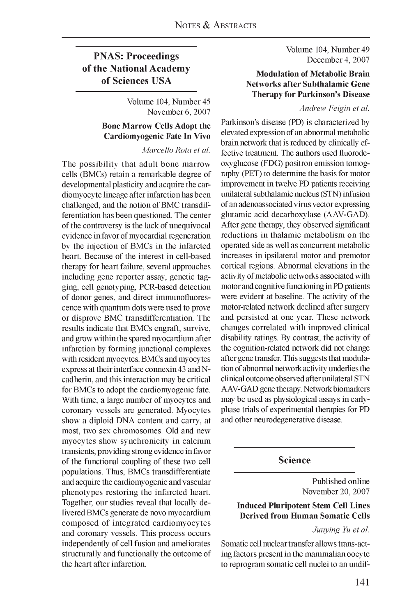Volume 104, Number 49 December 4, 2007

### **Modulation of Metabolic Brain Networks after Subthalamic Gene Therapy for Parkinson's Disease**

#### *Andrew Feigin et al.*

Parkinson's disease (PD) is characterized by elevated expression of an abnormal metabolic brain network that is reduced by clinically effective treatment. The authors used fluorodeoxyglucose (FDG) positron emission tomography (PET) to determine the basis for motor improvement in twelve PD patients receiving unilateral subthalamic nucleus (STN) infusion of an adenoassociated virus vector expressing glutamic acid decarboxylase (AAV-GAD). After gene therapy, they observed significant reductions in thalamic metabolism on the operated side as well as concurrent metabolic increases in ipsilateral motor and premotor cortical regions. Abnormal elevations in the activity of metabolic networks associated with motor and cognitive functioning in PD patients were evident at baseline. The activity of the motor-related network declined after surgery and persisted at one year. These network changes correlated with improved clinical disability ratings. By contrast, the activity of the cognition-related network did not change after gene transfer. This suggests that modulation of abnormal network activity underlies the clinical outcome observed after unilateral STN AAV-GAD gene therapy. Network biomarkers may be used as physiological assays in earlyphase trials of experimental therapies for PD and other neurodegenerative disease.

# **Science**

Published online November 20, 2007

# **Induced Pluripotent Stem Cell Lines Derived from Human Somatic Cells**

*Junying Yu et al.*

Somatic cell nuclear transfer allows trans-acting factors present in the mammalian oocyte to reprogram somatic cell nuclei to an undif-

# **PNAS: Proceedings of the National Academy of Sciences USA**

Volume 104, Number 45 November 6, 2007

### **Bone Marrow Cells Adopt the Cardiomyogenic Fate In Vivo**

*Marcello Rota et al.*

The possibility that adult bone marrow cells (BMCs) retain a remarkable degree of developmental plasticity and acquire the cardiomyocyte lineage after infarction has been challenged, and the notion of BMC transdifferentiation has been questioned. The center of the controversy is the lack of unequivocal evidence in favor of myocardial regeneration by the injection of BMCs in the infarcted heart. Because of the interest in cell-based therapy for heart failure, several approaches including gene reporter assay, genetic tagging, cell genotyping, PCR-based detection of donor genes, and direct immunofluorescence with quantum dots were used to prove or disprove BMC transdifferentiation. The results indicate that BMCs engraft, survive, and grow within the spared myocardium after infarction by forming junctional complexes with resident myocytes. BMCs and myocytes express at their interface connexin 43 and Ncadherin, and this interaction may be critical for BMCs to adopt the cardiomyogenic fate. With time, a large number of myocytes and coronary vessels are generated. Myocytes show a diploid DNA content and carry, at most, two sex chromosomes. Old and new myocytes show synchronicity in calcium transients, providing strong evidence in favor of the functional coupling of these two cell populations. Thus, BMCs transdifferentiate and acquire the cardiomyogenic and vascular phenotypes restoring the infarcted heart. Together, our studies reveal that locally delivered BMCs generate de novo myocardium composed of integrated cardiomyocytes and coronary vessels. This process occurs independently of cell fusion and ameliorates structurally and functionally the outcome of the heart after infarction.